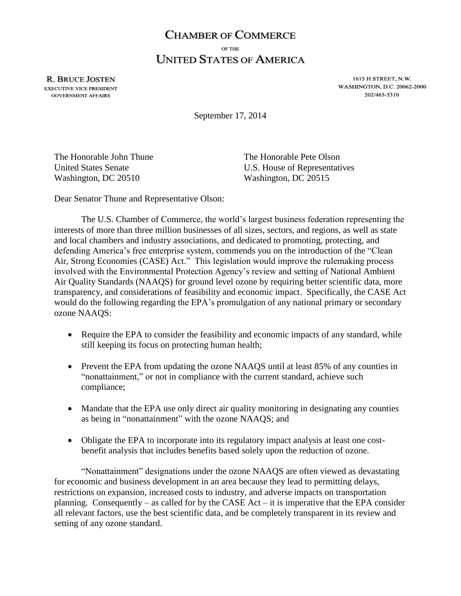## **CHAMBER OF COMMERCE** OF THE **UNITED STATES OF AMERICA**

**R. BRUCE JOSTEN EXECUTIVE VICE PRESIDENT GOVERNMENT AFFAIRS** 

1615 H STREET, N.W. **WASHINGTON, D.C. 20062-2000** 202/463-5310

September 17, 2014

The Honorable John Thune The Honorable Pete Olson Washington, DC 20510 Washington, DC 20515

United States Senate **U.S.** House of Representatives

Dear Senator Thune and Representative Olson:

The U.S. Chamber of Commerce, the world's largest business federation representing the interests of more than three million businesses of all sizes, sectors, and regions, as well as state and local chambers and industry associations, and dedicated to promoting, protecting, and defending America's free enterprise system, commends you on the introduction of the "Clean Air, Strong Economies (CASE) Act." This legislation would improve the rulemaking process involved with the Environmental Protection Agency's review and setting of National Ambient Air Quality Standards (NAAQS) for ground level ozone by requiring better scientific data, more transparency, and considerations of feasibility and economic impact. Specifically, the CASE Act would do the following regarding the EPA's promulgation of any national primary or secondary ozone NAAQS:

- Require the EPA to consider the feasibility and economic impacts of any standard, while still keeping its focus on protecting human health;
- Prevent the EPA from updating the ozone NAAQS until at least 85% of any counties in "nonattainment," or not in compliance with the current standard, achieve such compliance;
- Mandate that the EPA use only direct air quality monitoring in designating any counties as being in "nonattainment" with the ozone NAAQS; and
- Obligate the EPA to incorporate into its regulatory impact analysis at least one costbenefit analysis that includes benefits based solely upon the reduction of ozone.

"Nonattainment" designations under the ozone NAAQS are often viewed as devastating for economic and business development in an area because they lead to permitting delays, restrictions on expansion, increased costs to industry, and adverse impacts on transportation planning. Consequently – as called for by the CASE Act – it is imperative that the EPA consider all relevant factors, use the best scientific data, and be completely transparent in its review and setting of any ozone standard.